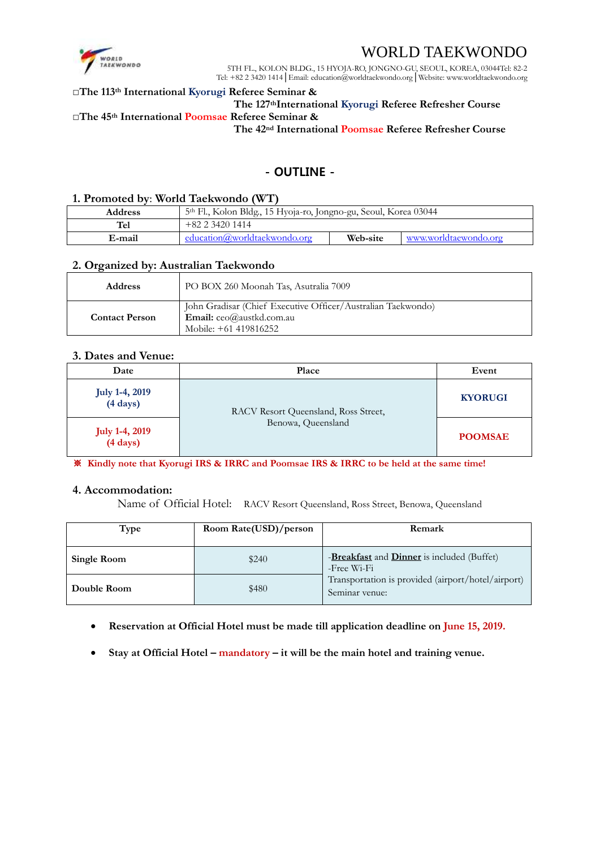

## WORLD TAEKWONDO

5TH FL., KOLON BLDG., 15 HYOJA-RO, JONGNO-GU, SEOUL, KOREA, 03044Tel: 82-2 Tel: +82 2 3420 1414│Email: education@worldtaekwondo.org│Website: www.worldtaekwondo.org

#### **□The 113th International Kyorugi Referee Seminar &**

## **The 127thInternational Kyorugi Referee Refresher Course**

## **□The 45th International Poomsae Referee Seminar &**

**The 42nd International Poomsae Referee Refresher Course**

## - OUTLINE -

#### **1. Promoted by**: **World Taekwondo (WT)**

| <b>Address</b> | 5th Fl., Kolon Bldg., 15 Hyoja-ro, Jongno-gu, Seoul, Korea 03044 |          |                       |
|----------------|------------------------------------------------------------------|----------|-----------------------|
| <b>Tel</b>     | $+82$ 2 3420 1414                                                |          |                       |
| E-mail         | education@worldtaekwondo.org                                     | Web-site | www.worldtaewondo.org |

#### **2. Organized by: Australian Taekwondo**

| <b>Address</b>        | PO BOX 260 Moonah Tas, Asutralia 7009                                                                                               |  |
|-----------------------|-------------------------------------------------------------------------------------------------------------------------------------|--|
| <b>Contact Person</b> | John Gradisar (Chief Executive Officer/Australian Taekwondo)<br><b>Email:</b> $ceo(\hat{a})$ austkd.com.au<br>Mobile: +61 419816252 |  |

#### **3. Dates and Venue:**

| Date                                        | Place                                                      | Event          |
|---------------------------------------------|------------------------------------------------------------|----------------|
| <b>July 1-4, 2019</b><br>$(4 \text{ days})$ | RACV Resort Queensland, Ross Street,<br>Benowa, Queensland | <b>KYORUGI</b> |
| <b>July 1-4, 2019</b><br>$(4 \text{ days})$ |                                                            | <b>POOMSAE</b> |

※ **Kindly note that Kyorugi IRS & IRRC and Poomsae IRS & IRRC to be held at the same time!**

#### **4. Accommodation:**

Name of Official Hotel: RACV Resort Queensland, Ross Street, Benowa, Queensland

| Type        | Room Rate(USD)/person | Remark                                                               |
|-------------|-----------------------|----------------------------------------------------------------------|
| Single Room | \$240                 | -Breakfast and Dinner is included (Buffet)<br>-Free Wi-Fi            |
| Double Room | \$480                 | Transportation is provided (airport/hotel/airport)<br>Seminar venue: |

- **Reservation at Official Hotel must be made till application deadline on June 15, 2019.**
- **Stay at Official Hotel – mandatory – it will be the main hotel and training venue.**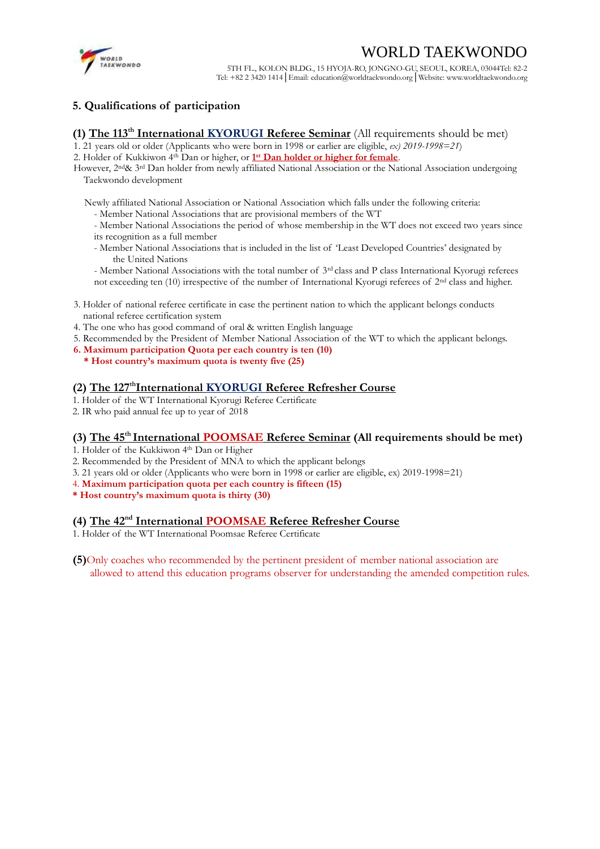# WORLD TAEKWONDO



5TH FL., KOLON BLDG., 15 HYOJA-RO, JONGNO-GU, SEOUL, KOREA, 03044Tel: 82-2 Tel: +82 2 3420 1414│Email: education@worldtaekwondo.org│Website: www.worldtaekwondo.org

## **5. Qualifications of participation**

## (1) The 113<sup>th</sup> International KYORUGI Referee Seminar (All requirements should be met)

- 1. 21 years old or older (Applicants who were born in 1998 or earlier are eligible, *ex) 2019-1998=21*)
- 2. Holder of Kukkiwon 4<sup>th</sup> Dan or higher, or 1<sup>st</sup> Dan holder or higher for female.

However, 2nd& 3rd Dan holder from newly affiliated National Association or the National Association undergoing Taekwondo development

Newly affiliated National Association or National Association which falls under the following criteria:

- Member National Associations that are provisional members of the WT
- Member National Associations the period of whose membership in the WT does not exceed two years since its recognition as a full member
- Member National Associations that is included in the list of 'Least Developed Countries' designated by the United Nations
- Member National Associations with the total number of 3rd class and P class International Kyorugi referees not exceeding ten (10) irrespective of the number of International Kyorugi referees of 2nd class and higher.
- 3. Holder of national referee certificate in case the pertinent nation to which the applicant belongs conducts national referee certification system
- 4. The one who has good command of oral & written English language
- 5. Recommended by the President of Member National Association of the WT to which the applicant belongs.
- **6. Maximum participation Quota per each country is ten (10)**
- **\* Host country's maximum quota is twenty five (25)**

## **(2) The 127 thInternational KYORUGI Referee Refresher Course**

- 1. Holder of the WT International Kyorugi Referee Certificate
- 2. IR who paid annual fee up to year of 2018

## (3) The 45<sup>th</sup> International POOMSAE Referee Seminar (All requirements should be met)

- 1. Holder of the Kukkiwon 4th Dan or Higher
- 2. Recommended by the President of MNA to which the applicant belongs
- 3. 21 years old or older (Applicants who were born in 1998 or earlier are eligible, ex) 2019-1998=21)
- 4. **Maximum participation quota per each country is fifteen (15)**
- **\* Host country's maximum quota is thirty (30)**

## (4) The 42<sup>nd</sup> International POOMSAE Referee Refresher Course

1. Holder of the WT International Poomsae Referee Certificate

**(5)**Only coaches who recommended by the pertinent president of member national association are allowed to attend this education programs observer for understanding the amended competition rules.